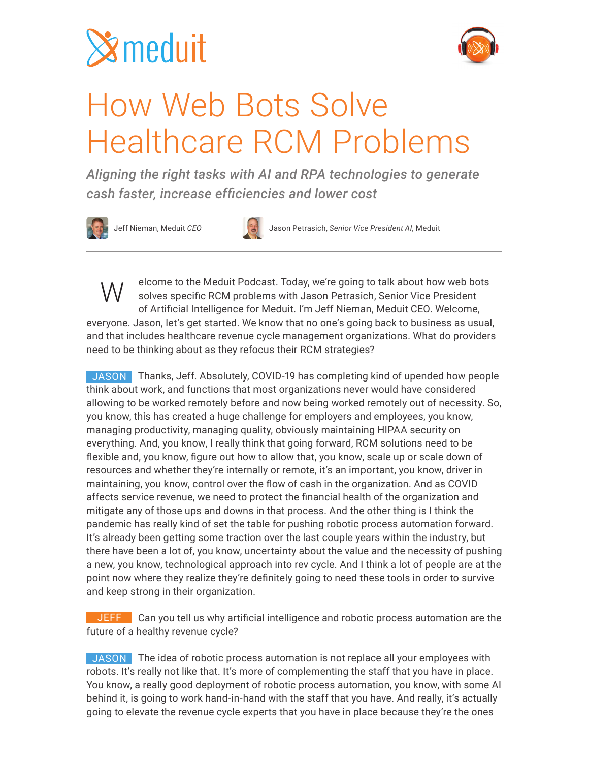



## How Web Bots Solve Healthcare RCM Problems

*Aligning the right tasks with AI and RPA technologies to generate cash faster, increase efficiencies and lower cost*





Jeff Nieman, Meduit *CEO* Jason Petrasich, *Senior Vice President AI,* Meduit

elcome to the Meduit Podcast. Today, we're going to talk about how web bots solves specific RCM problems with Jason Petrasich, Senior Vice President of Artificial Intelligence for Meduit. I'm Jeff Nieman, Meduit CEO. Welcome, everyone. Jason, let's get started. We know that no one's going back to business as usual, and that includes healthcare revenue cycle management organizations. What do providers need to be thinking about as they refocus their RCM strategies? W

JASON Thanks, Jeff. Absolutely, COVID-19 has completing kind of upended how people think about work, and functions that most organizations never would have considered allowing to be worked remotely before and now being worked remotely out of necessity. So, you know, this has created a huge challenge for employers and employees, you know, managing productivity, managing quality, obviously maintaining HIPAA security on everything. And, you know, I really think that going forward, RCM solutions need to be flexible and, you know, figure out how to allow that, you know, scale up or scale down of resources and whether they're internally or remote, it's an important, you know, driver in maintaining, you know, control over the flow of cash in the organization. And as COVID affects service revenue, we need to protect the financial health of the organization and mitigate any of those ups and downs in that process. And the other thing is I think the pandemic has really kind of set the table for pushing robotic process automation forward. It's already been getting some traction over the last couple years within the industry, but there have been a lot of, you know, uncertainty about the value and the necessity of pushing a new, you know, technological approach into rev cycle. And I think a lot of people are at the point now where they realize they're definitely going to need these tools in order to survive and keep strong in their organization.

**JEFF** Can you tell us why artificial intelligence and robotic process automation are the future of a healthy revenue cycle?

JASON The idea of robotic process automation is not replace all your employees with robots. It's really not like that. It's more of complementing the staff that you have in place. You know, a really good deployment of robotic process automation, you know, with some AI behind it, is going to work hand-in-hand with the staff that you have. And really, it's actually going to elevate the revenue cycle experts that you have in place because they're the ones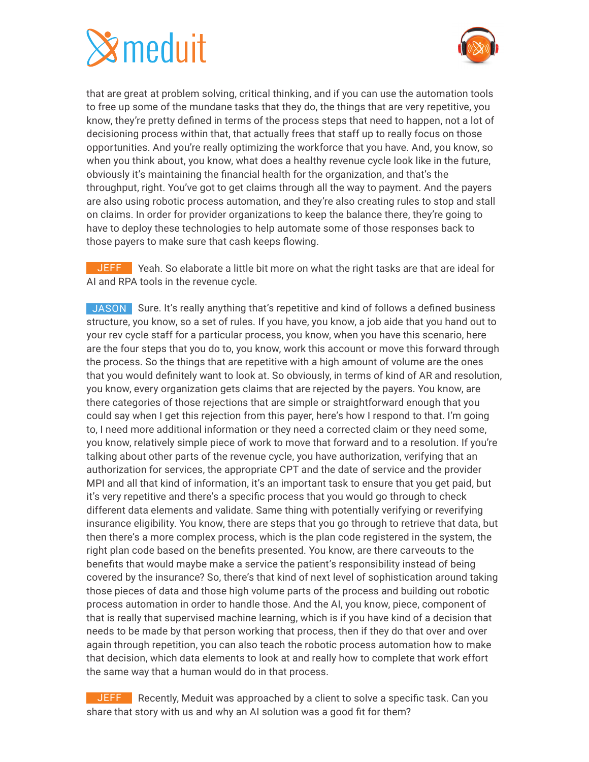# $\mathbf{\hat{x}}$ meduit



that are great at problem solving, critical thinking, and if you can use the automation tools to free up some of the mundane tasks that they do, the things that are very repetitive, you know, they're pretty defined in terms of the process steps that need to happen, not a lot of decisioning process within that, that actually frees that staff up to really focus on those opportunities. And you're really optimizing the workforce that you have. And, you know, so when you think about, you know, what does a healthy revenue cycle look like in the future, obviously it's maintaining the financial health for the organization, and that's the throughput, right. You've got to get claims through all the way to payment. And the payers are also using robotic process automation, and they're also creating rules to stop and stall on claims. In order for provider organizations to keep the balance there, they're going to have to deploy these technologies to help automate some of those responses back to those payers to make sure that cash keeps flowing.

JEFF Yeah. So elaborate a little bit more on what the right tasks are that are ideal for AI and RPA tools in the revenue cycle.

JASON Sure. It's really anything that's repetitive and kind of follows a defined business structure, you know, so a set of rules. If you have, you know, a job aide that you hand out to your rev cycle staff for a particular process, you know, when you have this scenario, here are the four steps that you do to, you know, work this account or move this forward through the process. So the things that are repetitive with a high amount of volume are the ones that you would definitely want to look at. So obviously, in terms of kind of AR and resolution, you know, every organization gets claims that are rejected by the payers. You know, are there categories of those rejections that are simple or straightforward enough that you could say when I get this rejection from this payer, here's how I respond to that. I'm going to, I need more additional information or they need a corrected claim or they need some, you know, relatively simple piece of work to move that forward and to a resolution. If you're talking about other parts of the revenue cycle, you have authorization, verifying that an authorization for services, the appropriate CPT and the date of service and the provider MPI and all that kind of information, it's an important task to ensure that you get paid, but it's very repetitive and there's a specific process that you would go through to check different data elements and validate. Same thing with potentially verifying or reverifying insurance eligibility. You know, there are steps that you go through to retrieve that data, but then there's a more complex process, which is the plan code registered in the system, the right plan code based on the benefits presented. You know, are there carveouts to the benefits that would maybe make a service the patient's responsibility instead of being covered by the insurance? So, there's that kind of next level of sophistication around taking those pieces of data and those high volume parts of the process and building out robotic process automation in order to handle those. And the AI, you know, piece, component of that is really that supervised machine learning, which is if you have kind of a decision that needs to be made by that person working that process, then if they do that over and over again through repetition, you can also teach the robotic process automation how to make that decision, which data elements to look at and really how to complete that work effort the same way that a human would do in that process.

JEFF Recently, Meduit was approached by a client to solve a specific task. Can you share that story with us and why an AI solution was a good fit for them?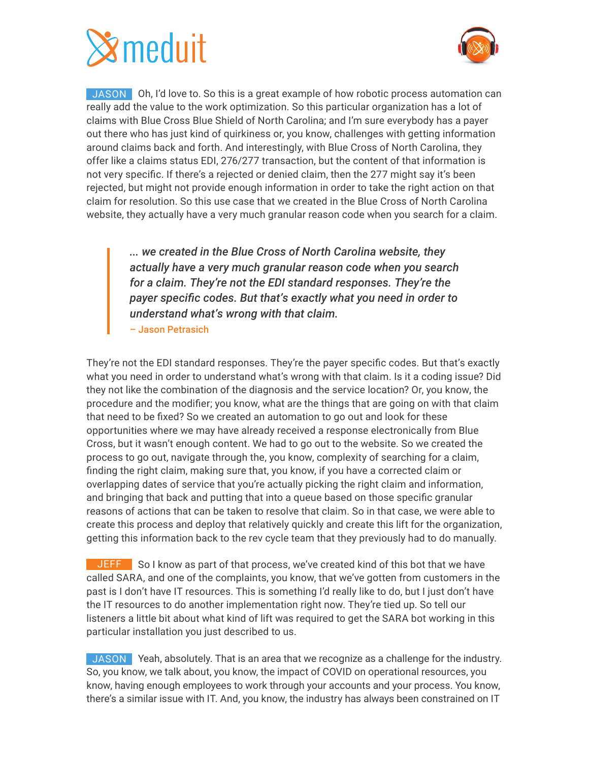



JASON Oh, I'd love to. So this is a great example of how robotic process automation can really add the value to the work optimization. So this particular organization has a lot of claims with Blue Cross Blue Shield of North Carolina; and I'm sure everybody has a payer out there who has just kind of quirkiness or, you know, challenges with getting information around claims back and forth. And interestingly, with Blue Cross of North Carolina, they offer like a claims status EDI, 276/277 transaction, but the content of that information is not very specific. If there's a rejected or denied claim, then the 277 might say it's been rejected, but might not provide enough information in order to take the right action on that claim for resolution. So this use case that we created in the Blue Cross of North Carolina website, they actually have a very much granular reason code when you search for a claim.

*... we created in the Blue Cross of North Carolina website, they actually have a very much granular reason code when you search for a claim. They're not the EDI standard responses. They're the payer specific codes. But that's exactly what you need in order to understand what's wrong with that claim.* – Jason Petrasich

They're not the EDI standard responses. They're the payer specific codes. But that's exactly what you need in order to understand what's wrong with that claim. Is it a coding issue? Did they not like the combination of the diagnosis and the service location? Or, you know, the procedure and the modifier; you know, what are the things that are going on with that claim that need to be fixed? So we created an automation to go out and look for these opportunities where we may have already received a response electronically from Blue Cross, but it wasn't enough content. We had to go out to the website. So we created the process to go out, navigate through the, you know, complexity of searching for a claim, finding the right claim, making sure that, you know, if you have a corrected claim or overlapping dates of service that you're actually picking the right claim and information, and bringing that back and putting that into a queue based on those specific granular reasons of actions that can be taken to resolve that claim. So in that case, we were able to create this process and deploy that relatively quickly and create this lift for the organization, getting this information back to the rev cycle team that they previously had to do manually.

**JEFF** So I know as part of that process, we've created kind of this bot that we have called SARA, and one of the complaints, you know, that we've gotten from customers in the past is I don't have IT resources. This is something I'd really like to do, but I just don't have the IT resources to do another implementation right now. They're tied up. So tell our listeners a little bit about what kind of lift was required to get the SARA bot working in this particular installation you just described to us.

JASON Yeah, absolutely. That is an area that we recognize as a challenge for the industry. So, you know, we talk about, you know, the impact of COVID on operational resources, you know, having enough employees to work through your accounts and your process. You know, there's a similar issue with IT. And, you know, the industry has always been constrained on IT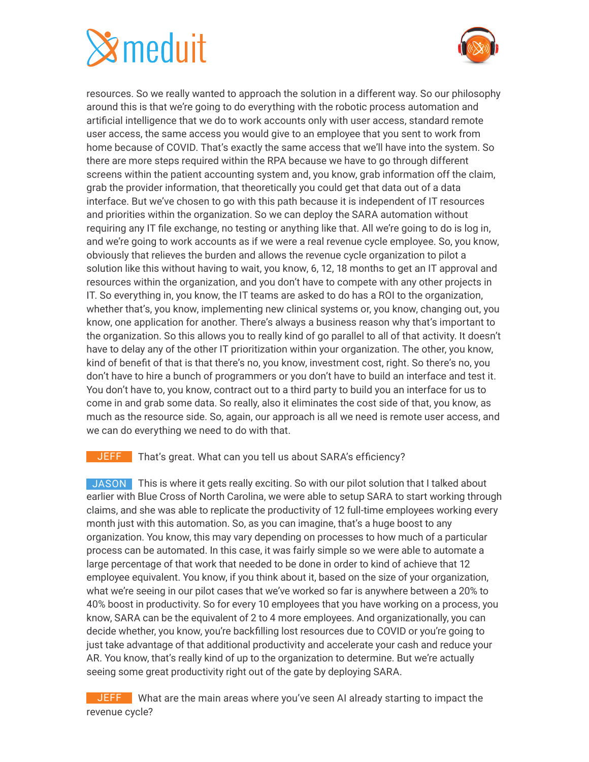# $\mathbf{\hat{x}}$ meduit



resources. So we really wanted to approach the solution in a different way. So our philosophy around this is that we're going to do everything with the robotic process automation and artificial intelligence that we do to work accounts only with user access, standard remote user access, the same access you would give to an employee that you sent to work from home because of COVID. That's exactly the same access that we'll have into the system. So there are more steps required within the RPA because we have to go through different screens within the patient accounting system and, you know, grab information off the claim, grab the provider information, that theoretically you could get that data out of a data interface. But we've chosen to go with this path because it is independent of IT resources and priorities within the organization. So we can deploy the SARA automation without requiring any IT file exchange, no testing or anything like that. All we're going to do is log in, and we're going to work accounts as if we were a real revenue cycle employee. So, you know, obviously that relieves the burden and allows the revenue cycle organization to pilot a solution like this without having to wait, you know, 6, 12, 18 months to get an IT approval and resources within the organization, and you don't have to compete with any other projects in IT. So everything in, you know, the IT teams are asked to do has a ROI to the organization, whether that's, you know, implementing new clinical systems or, you know, changing out, you know, one application for another. There's always a business reason why that's important to the organization. So this allows you to really kind of go parallel to all of that activity. It doesn't have to delay any of the other IT prioritization within your organization. The other, you know, kind of benefit of that is that there's no, you know, investment cost, right. So there's no, you don't have to hire a bunch of programmers or you don't have to build an interface and test it. You don't have to, you know, contract out to a third party to build you an interface for us to come in and grab some data. So really, also it eliminates the cost side of that, you know, as much as the resource side. So, again, our approach is all we need is remote user access, and we can do everything we need to do with that.

### JEFF That's great. What can you tell us about SARA's efficiency?

JASON This is where it gets really exciting. So with our pilot solution that I talked about earlier with Blue Cross of North Carolina, we were able to setup SARA to start working through claims, and she was able to replicate the productivity of 12 full-time employees working every month just with this automation. So, as you can imagine, that's a huge boost to any organization. You know, this may vary depending on processes to how much of a particular process can be automated. In this case, it was fairly simple so we were able to automate a large percentage of that work that needed to be done in order to kind of achieve that 12 employee equivalent. You know, if you think about it, based on the size of your organization, what we're seeing in our pilot cases that we've worked so far is anywhere between a 20% to 40% boost in productivity. So for every 10 employees that you have working on a process, you know, SARA can be the equivalent of 2 to 4 more employees. And organizationally, you can decide whether, you know, you're backfilling lost resources due to COVID or you're going to just take advantage of that additional productivity and accelerate your cash and reduce your AR. You know, that's really kind of up to the organization to determine. But we're actually seeing some great productivity right out of the gate by deploying SARA.

JEFF What are the main areas where you've seen AI already starting to impact the revenue cycle?